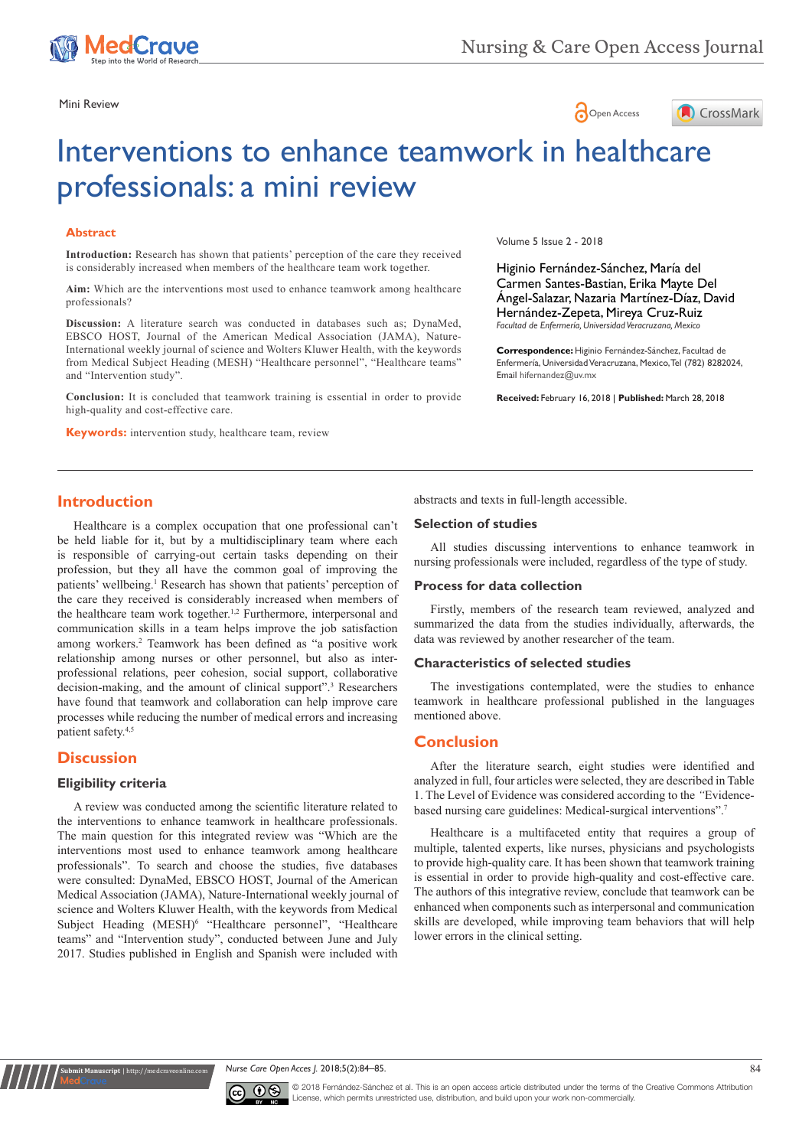

Mini Review





# Interventions to enhance teamwork in healthcare professionals: a mini review

#### **Abstract**

**Introduction:** Research has shown that patients' perception of the care they received is considerably increased when members of the healthcare team work together.

**Aim:** Which are the interventions most used to enhance teamwork among healthcare professionals?

**Discussion:** A literature search was conducted in databases such as; DynaMed, EBSCO HOST, Journal of the American Medical Association (JAMA), Nature-International weekly journal of science and Wolters Kluwer Health, with the keywords from Medical Subject Heading (MESH) "Healthcare personnel", "Healthcare teams" and "Intervention study".

**Conclusion:** It is concluded that teamwork training is essential in order to provide high-quality and cost-effective care.

**Keywords:** intervention study, healthcare team, review

Volume 5 Issue 2 - 2018

Higinio Fernández-Sánchez, María del Carmen Santes-Bastian, Erika Mayte Del Ángel-Salazar, Nazaria Martínez-Díaz, David Hernández-Zepeta, Mireya Cruz-Ruiz *Facultad de Enfermería, Universidad Veracruzana, Mexico*

**Correspondence:** Higinio Fernández-Sánchez, Facultad de Enfermería, Universidad Veracruzana, Mexico, Tel (782) 8282024, Email hifernandez@uv.mx

**Received:** February 16, 2018 | **Published:** March 28, 2018

## **Introduction**

Healthcare is a complex occupation that one professional can't be held liable for it, but by a multidisciplinary team where each is responsible of carrying-out certain tasks depending on their profession, but they all have the common goal of improving the patients' wellbeing.<sup>1</sup> Research has shown that patients' perception of the care they received is considerably increased when members of the healthcare team work together.<sup>1,2</sup> Furthermore, interpersonal and communication skills in a team helps improve the job satisfaction among workers.2 Teamwork has been defined as "a positive work relationship among nurses or other personnel, but also as interprofessional relations, peer cohesion, social support, collaborative decision-making, and the amount of clinical support".3 Researchers have found that teamwork and collaboration can help improve care processes while reducing the number of medical errors and increasing patient safety.4,5

## **Discussion**

#### **Eligibility criteria**

**Nit Manuscript** | http://medcr

A review was conducted among the scientific literature related to the interventions to enhance teamwork in healthcare professionals. The main question for this integrated review was "Which are the interventions most used to enhance teamwork among healthcare professionals". To search and choose the studies, five databases were consulted: DynaMed, EBSCO HOST, Journal of the American Medical Association (JAMA), Nature-International weekly journal of science and Wolters Kluwer Health, with the keywords from Medical Subject Heading (MESH)<sup>6</sup> "Healthcare personnel", "Healthcare teams" and "Intervention study", conducted between June and July 2017. Studies published in English and Spanish were included with

abstracts and texts in full-length accessible.

#### **Selection of studies**

All studies discussing interventions to enhance teamwork in nursing professionals were included, regardless of the type of study.

#### **Process for data collection**

Firstly, members of the research team reviewed, analyzed and summarized the data from the studies individually, afterwards, the data was reviewed by another researcher of the team.

#### **Characteristics of selected studies**

The investigations contemplated, were the studies to enhance teamwork in healthcare professional published in the languages mentioned above.

### **Conclusion**

After the literature search, eight studies were identified and analyzed in full, four articles were selected, they are described in Table 1. The Level of Evidence was considered according to the *"*Evidencebased nursing care guidelines: Medical-surgical interventions".7

Healthcare is a multifaceted entity that requires a group of multiple, talented experts, like nurses, physicians and psychologists to provide high-quality care. It has been shown that teamwork training is essential in order to provide high-quality and cost-effective care. The authors of this integrative review, conclude that teamwork can be enhanced when components such as interpersonal and communication skills are developed, while improving team behaviors that will help lower errors in the clinical setting.





© 2018 Fernández-Sánchez et al. This is an open access article distributed under the terms of the [Creative Commons Attribution](https://creativecommons.org/licenses/by-nc/4.0/)  cense, which permits unrestricted use, distribution, and build upon your work non-commercially.